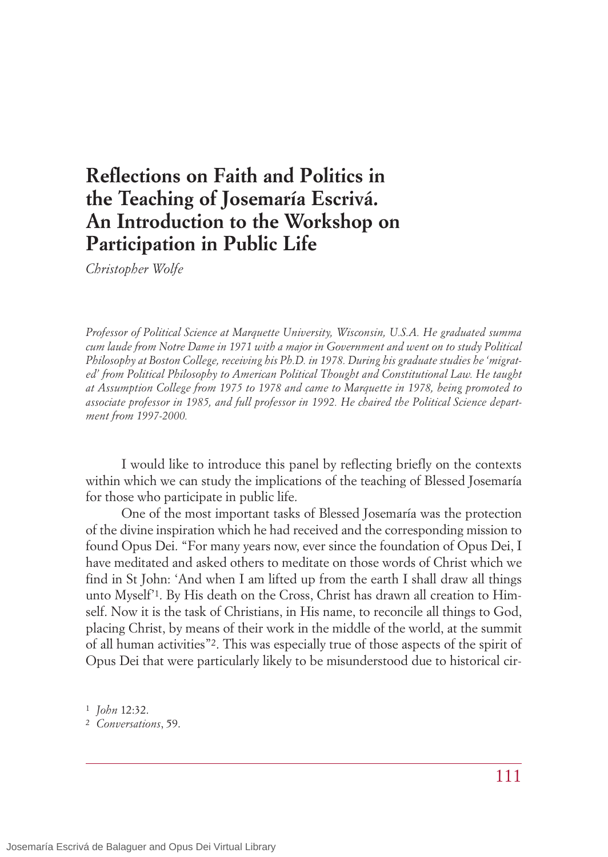## **Reflections on Faith and Politics in the Teaching of Josemaría Escrivá. An Introduction to the Workshop on Participation in Public Life**

*Christopher Wolfe*

*Professor of Political Science at Marquette University, Wisconsin, U.S.A. He graduated summa cum laude from Notre Dame in 1971 with a major in Government and went on to study Political Philosophy at Boston College, receiving his Ph.D. in 1978. During his graduate studies he 'migrated' from Political Philosophy to American Political Thought and Constitutional Law. He taught at Assumption College from 1975 to 1978 and came to Marquette in 1978, being promoted to associate professor in 1985, and full professor in 1992. He chaired the Political Science department from 1997-2000.*

I would like to introduce this panel by reflecting briefly on the contexts within which we can study the implications of the teaching of Blessed Josemaría for those who participate in public life.

One of the most important tasks of Blessed Josemaría was the protection of the divine inspiration which he had received and the corresponding mission to found Opus Dei. "For many years now, ever since the foundation of Opus Dei, I have meditated and asked others to meditate on those words of Christ which we find in St John: 'And when I am lifted up from the earth I shall draw all things unto Myself'1. By His death on the Cross, Christ has drawn all creation to Himself. Now it is the task of Christians, in His name, to reconcile all things to God, placing Christ, by means of their work in the middle of the world, at the summit of all human activities"2. This was especially true of those aspects of the spirit of Opus Dei that were particularly likely to be misunderstood due to historical cir-

<sup>1</sup> *John* 12:32.

<sup>2</sup> *Conversations*, 59.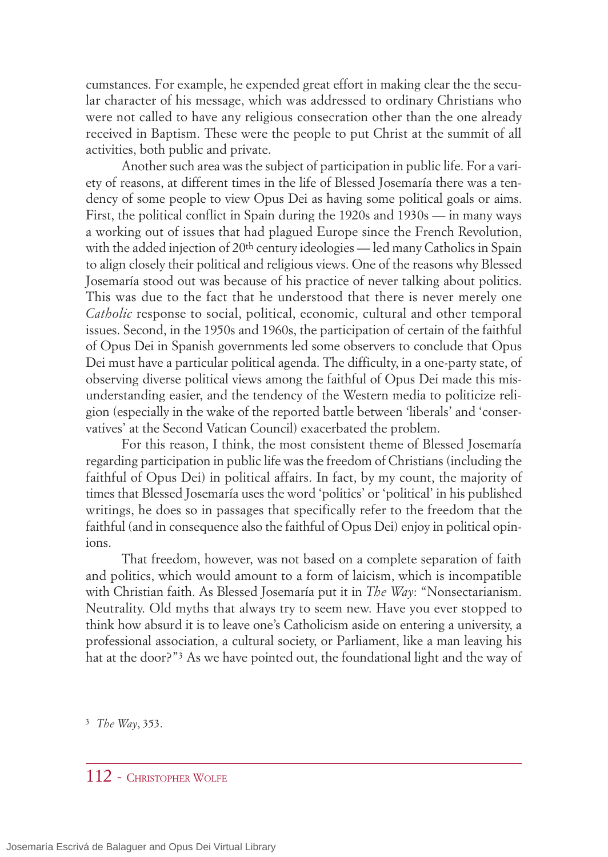cumstances. For example, he expended great effort in making clear the the secular character of his message, which was addressed to ordinary Christians who were not called to have any religious consecration other than the one already received in Baptism. These were the people to put Christ at the summit of all activities, both public and private.

Another such area was the subject of participation in public life. For a variety of reasons, at different times in the life of Blessed Josemaría there was a tendency of some people to view Opus Dei as having some political goals or aims. First, the political conflict in Spain during the 1920s and 1930s — in many ways a working out of issues that had plagued Europe since the French Revolution, with the added injection of 20<sup>th</sup> century ideologies — led many Catholics in Spain to align closely their political and religious views. One of the reasons why Blessed Josemaría stood out was because of his practice of never talking about politics. This was due to the fact that he understood that there is never merely one *Catholic* response to social, political, economic, cultural and other temporal issues. Second, in the 1950s and 1960s, the participation of certain of the faithful of Opus Dei in Spanish governments led some observers to conclude that Opus Dei must have a particular political agenda. The difficulty, in a one-party state, of observing diverse political views among the faithful of Opus Dei made this misunderstanding easier, and the tendency of the Western media to politicize religion (especially in the wake of the reported battle between 'liberals' and 'conservatives' at the Second Vatican Council) exacerbated the problem.

For this reason, I think, the most consistent theme of Blessed Josemaría regarding participation in public life was the freedom of Christians (including the faithful of Opus Dei) in political affairs. In fact, by my count, the majority of times that Blessed Josemaría uses the word 'politics' or 'political' in his published writings, he does so in passages that specifically refer to the freedom that the faithful (and in consequence also the faithful of Opus Dei) enjoy in political opinions.

That freedom, however, was not based on a complete separation of faith and politics, which would amount to a form of laicism, which is incompatible with Christian faith. As Blessed Josemaría put it in *The Way*: "Nonsectarianism. Neutrality. Old myths that always try to seem new. Have you ever stopped to think how absurd it is to leave one's Catholicism aside on entering a university, a professional association, a cultural society, or Parliament, like a man leaving his hat at the door?"3 As we have pointed out, the foundational light and the way of

3 *The Way*, 353.

## 112 - CHRISTOPHER WOLFE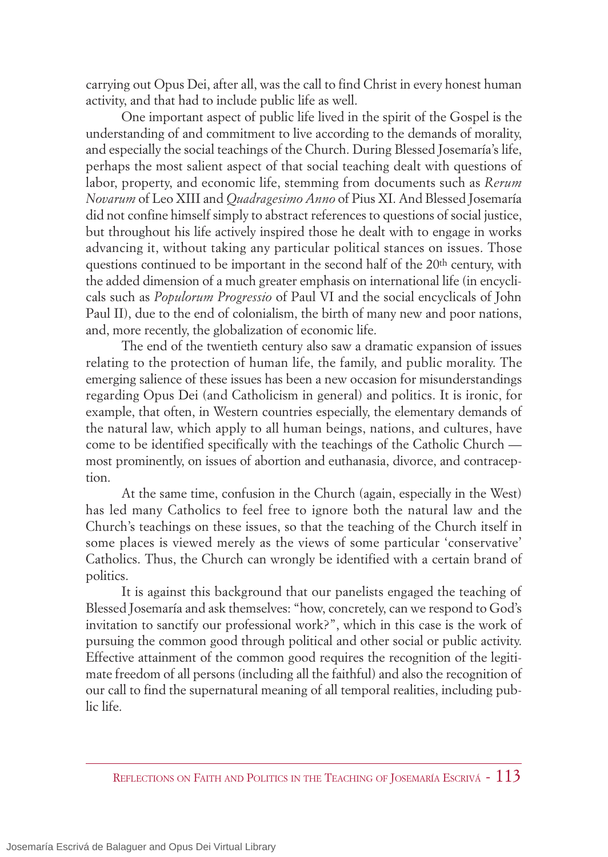carrying out Opus Dei, after all, was the call to find Christ in every honest human activity, and that had to include public life as well.

One important aspect of public life lived in the spirit of the Gospel is the understanding of and commitment to live according to the demands of morality, and especially the social teachings of the Church. During Blessed Josemaría's life, perhaps the most salient aspect of that social teaching dealt with questions of labor, property, and economic life, stemming from documents such as *Rerum Novarum* of Leo XIII and *Quadragesimo Anno* of Pius XI. And Blessed Josemaría did not confine himself simply to abstract references to questions of social justice, but throughout his life actively inspired those he dealt with to engage in works advancing it, without taking any particular political stances on issues. Those questions continued to be important in the second half of the 20<sup>th</sup> century, with the added dimension of a much greater emphasis on international life (in encyclicals such as *Populorum Progressio* of Paul VI and the social encyclicals of John Paul II), due to the end of colonialism, the birth of many new and poor nations, and, more recently, the globalization of economic life.

The end of the twentieth century also saw a dramatic expansion of issues relating to the protection of human life, the family, and public morality. The emerging salience of these issues has been a new occasion for misunderstandings regarding Opus Dei (and Catholicism in general) and politics. It is ironic, for example, that often, in Western countries especially, the elementary demands of the natural law, which apply to all human beings, nations, and cultures, have come to be identified specifically with the teachings of the Catholic Church most prominently, on issues of abortion and euthanasia, divorce, and contraception.

At the same time, confusion in the Church (again, especially in the West) has led many Catholics to feel free to ignore both the natural law and the Church's teachings on these issues, so that the teaching of the Church itself in some places is viewed merely as the views of some particular 'conservative' Catholics. Thus, the Church can wrongly be identified with a certain brand of politics.

It is against this background that our panelists engaged the teaching of Blessed Josemaría and ask themselves: "how, concretely, can we respond to God's invitation to sanctify our professional work?", which in this case is the work of pursuing the common good through political and other social or public activity. Effective attainment of the common good requires the recognition of the legitimate freedom of all persons (including all the faithful) and also the recognition of our call to find the supernatural meaning of all temporal realities, including public life.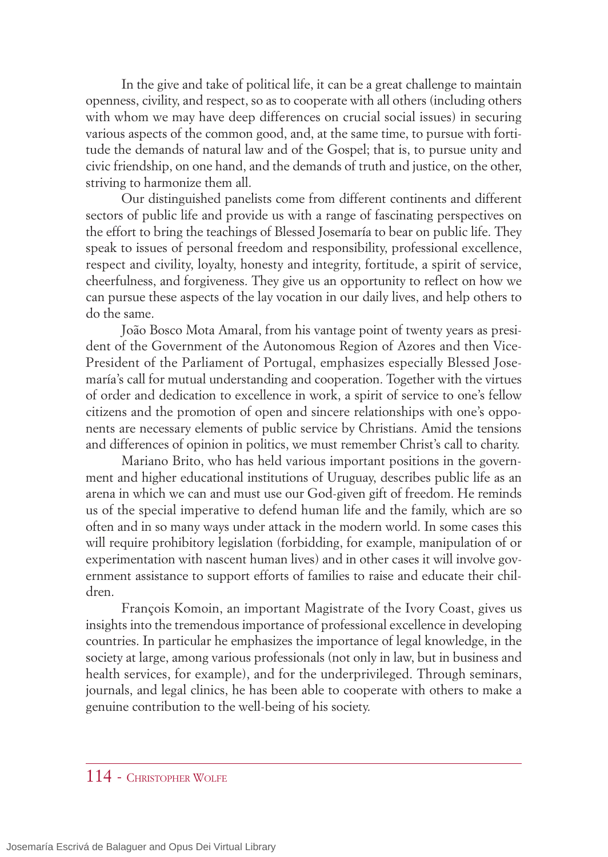In the give and take of political life, it can be a great challenge to maintain openness, civility, and respect, so as to cooperate with all others (including others with whom we may have deep differences on crucial social issues) in securing various aspects of the common good, and, at the same time, to pursue with fortitude the demands of natural law and of the Gospel; that is, to pursue unity and civic friendship, on one hand, and the demands of truth and justice, on the other, striving to harmonize them all.

Our distinguished panelists come from different continents and different sectors of public life and provide us with a range of fascinating perspectives on the effort to bring the teachings of Blessed Josemaría to bear on public life. They speak to issues of personal freedom and responsibility, professional excellence, respect and civility, loyalty, honesty and integrity, fortitude, a spirit of service, cheerfulness, and forgiveness. They give us an opportunity to reflect on how we can pursue these aspects of the lay vocation in our daily lives, and help others to do the same.

João Bosco Mota Amaral, from his vantage point of twenty years as president of the Government of the Autonomous Region of Azores and then Vice-President of the Parliament of Portugal, emphasizes especially Blessed Josemaría's call for mutual understanding and cooperation. Together with the virtues of order and dedication to excellence in work, a spirit of service to one's fellow citizens and the promotion of open and sincere relationships with one's opponents are necessary elements of public service by Christians. Amid the tensions and differences of opinion in politics, we must remember Christ's call to charity.

Mariano Brito, who has held various important positions in the government and higher educational institutions of Uruguay, describes public life as an arena in which we can and must use our God-given gift of freedom. He reminds us of the special imperative to defend human life and the family, which are so often and in so many ways under attack in the modern world. In some cases this will require prohibitory legislation (forbidding, for example, manipulation of or experimentation with nascent human lives) and in other cases it will involve government assistance to support efforts of families to raise and educate their children.

François Komoin, an important Magistrate of the Ivory Coast, gives us insights into the tremendous importance of professional excellence in developing countries. In particular he emphasizes the importance of legal knowledge, in the society at large, among various professionals (not only in law, but in business and health services, for example), and for the underprivileged. Through seminars, journals, and legal clinics, he has been able to cooperate with others to make a genuine contribution to the well-being of his society.

## 114 - CHRISTOPHER WOLFE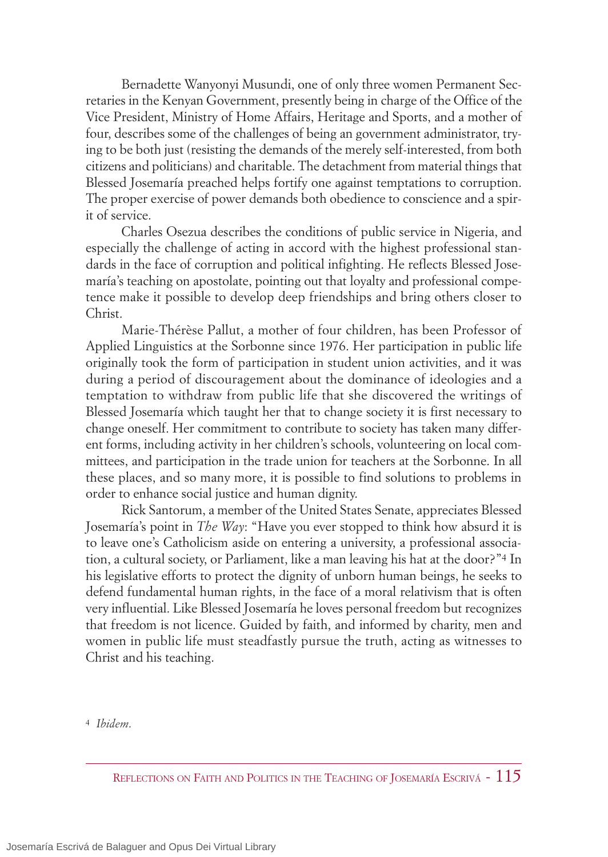Bernadette Wanyonyi Musundi, one of only three women Permanent Secretaries in the Kenyan Government, presently being in charge of the Office of the Vice President, Ministry of Home Affairs, Heritage and Sports, and a mother of four, describes some of the challenges of being an government administrator, trying to be both just (resisting the demands of the merely self-interested, from both citizens and politicians) and charitable. The detachment from material things that Blessed Josemaría preached helps fortify one against temptations to corruption. The proper exercise of power demands both obedience to conscience and a spirit of service.

Charles Osezua describes the conditions of public service in Nigeria, and especially the challenge of acting in accord with the highest professional standards in the face of corruption and political infighting. He reflects Blessed Josemaría's teaching on apostolate, pointing out that loyalty and professional competence make it possible to develop deep friendships and bring others closer to Christ.

Marie-Thérèse Pallut, a mother of four children, has been Professor of Applied Linguistics at the Sorbonne since 1976. Her participation in public life originally took the form of participation in student union activities, and it was during a period of discouragement about the dominance of ideologies and a temptation to withdraw from public life that she discovered the writings of Blessed Josemaría which taught her that to change society it is first necessary to change oneself. Her commitment to contribute to society has taken many different forms, including activity in her children's schools, volunteering on local committees, and participation in the trade union for teachers at the Sorbonne. In all these places, and so many more, it is possible to find solutions to problems in order to enhance social justice and human dignity.

Rick Santorum, a member of the United States Senate, appreciates Blessed Josemaría's point in *The Way*: "Have you ever stopped to think how absurd it is to leave one's Catholicism aside on entering a university, a professional association, a cultural society, or Parliament, like a man leaving his hat at the door?"4 In his legislative efforts to protect the dignity of unborn human beings, he seeks to defend fundamental human rights, in the face of a moral relativism that is often very influential. Like Blessed Josemaría he loves personal freedom but recognizes that freedom is not licence. Guided by faith, and informed by charity, men and women in public life must steadfastly pursue the truth, acting as witnesses to Christ and his teaching.

4 *Ibidem*.